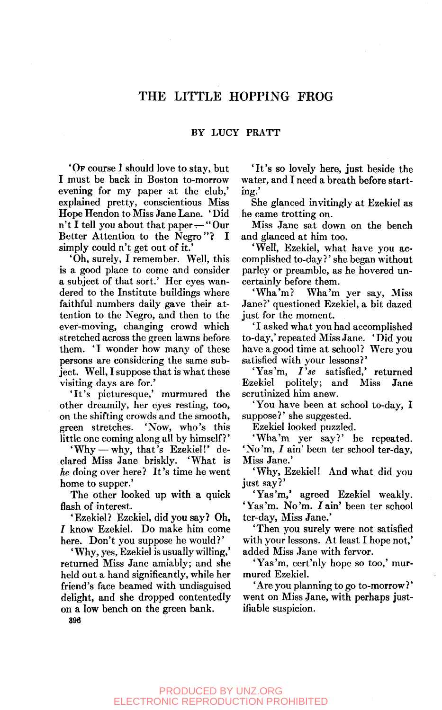# THE LITTLE HOPPING FROG

## BY LUCY PRATT

'Or course I should love to stay, but I must be back in Boston to-morrow evening for my paper at the club,' explained pretty, conscientious Miss Hope Hendon to Miss Jane Lane. ' Did n't I tell you about that paper—"Our Better Attention to the Negro"? I simply could n't get out of it.'

'Oh, surely, I remember. Well, this is a good place to come and consider a subject of that sort.' Her eyes wandered to the Institute buildings where faithful numbers daily gave their attention to the Negro, and then to the ever-moving, changing crowd which stretched across the green lawns before them. 'I wonder how many of these persons are considering the same subject. Well, I suppose that is what these visiting days are for.'

'It's picturesque,' murmured the other dreamily, her eyes resting, too, on the shifting crowds and the smooth, green stretches. 'Now, who's this little one coming along all by himself?'

'Why —why, that's Ezekiel!' declared Miss Jane briskly. 'What is *he* doing over here? It's time he went home to supper.'

The other looked up with a quick flash of interest.

'Ezekiel? Ezekiel, did you say? Oh, / know Ezekiel. Do make him come here. Don't you suppose he would?'

' Why, yes, Ezekiel is usually willing,' returned Miss Jane amiably; and she held out a hand significantly, while her friend's face beamed with undisguised delight, and she dropped contentedly on a low bench on the green bank.

'It's so lovely here, just beside the water, and I need a breath before starting.'

She glanced invitingly at Ezekiel as he came trotting on.

Miss Jane sat down on the bench and glanced at him too.

'Well, Ezekiel, what have you accomplished to-day?' she began without parley or preamble, as he hovered uncertainly before them.

'Wha'm? Wha'm yer say. Miss Jane?' questioned Ezekiel, a bit dazed just for the moment.

' I asked what you had accomplished to-day,' repeated Miss Jane. ' Did you have a good time at school? Were you satisfied with your lessons?'

'Yas'm, *I'se* satisfied,' returned Ezekiel politely; and Miss Jane scrutinized him anew.

'You have been at school to-day, I suppose?' she suggested.

Ezekiel looked puzzled.

'Wha'm yer say?' he repeated. 'No'm, *I* ain' been ter school ter-day, Miss Jane.'

'Why, Ezekiel! And what did you just say?'

'Yas'm,' agreed Ezekiel weakly. 'Yas'm. No'm. *I* ain' been ter school ter-day, Miss Jane.'

'Then you surely were not satisfied with your lessons. At least I hope not,' added Miss Jane with fervor.

'Yas'm, cert'nly hope so too,' murmured Ezekiel.

'Are you planning to go to-morrow?' went on Miss Jane, with perhaps justifiable suspicion.

896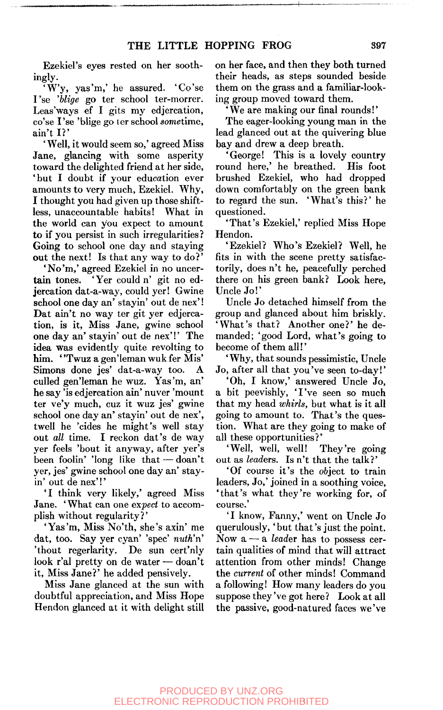Ezekiel's eyes rested on her soothingly.

'W'y, yas'm,' he assured. 'Co'se I'se *blige* go ter school ter-morrer. Leas'ways ef I gits my edjercation, co'se I'se 'blige go ter school sometime, ain't I? '

'Well, it would seem so,' agreed Miss Jane, glancing with some asperity toward the delighted friend at her side, 'but I doubt if your education ever amounts to very much, Ezekiel. Why, I thought you had given up those shift-<br>less. unaccountable habits! What in less, unaccountable habits! the world can you expect to amount to if you persist in such irregularities ? Going to school one day and staying out the next! Is that any way to do?'

'No'm,' agreed Ezekiel in no uncertain tones. 'Yer could n' git no edjercation dat-a-way, could yer! Gwine school one day an' stayin' out de nex'! Dat ain't no way ter git yer edjercation, is it. Miss Jane, gwine school one day an' stayin' out de nex'!' The idea was evidently quite revolting to him. "Twuz a gen'leman wuk fer Mis' Simons done jes' dat-a-way too. A culled gen'leman he wuz. Yas'm, an' he say 'is edjercation ain' nuver 'mount ter ve'y much, cuz it wuz jes' gwine school one day an' stayin' out de nex', twell he 'cides he might's well stay out *all* time. I reckon dat's de way yer feels 'bout it anyway, after yer's been foolin' 'long like that — doan't yer, jes' gwine school one day an' stayin' out de nex'!'

'I think very likely,' agreed Miss Jane. ' What can one *expect* to accomplish without regularity?'

'Yas'm, Miss No'th, she's axin' me dat, too. Say yer cyan' 'spec' *nuth'n'*  'thout regerlarity. De sun cert'nly look r'al pretty on de water — doan't it. Miss Jane?' he added pensively.

Miss Jane glanced at the sun with doubtful appreciation, and Miss Hope Hendon glanced at it with delight still

on her face, and then they both turned their heads, as steps sounded beside them on the grass and a familiar-looking group moved toward them.

'We are making our final rounds!'

The eager-looking young man in the lead glanced out at the quivering blue bay and drew a deep breath.

'George! This is a lovely country round here,' he breathed. His foot brushed Ezekiel, who had dropped down comfortably on the green bank to regard the sun. 'What's this?' he questioned.

'That's Ezekiel,' replied Miss Hope Hendon.

'Ezekiel? Who's Ezekiel? Well, he fits in with the scene pretty satisfactorily, does n't he, peacefully perched there on his green bank? Look here. Uncle Jo!'

Uncle Jo detached himself from the group and glanced about him briskly. 'What's that? Another one?' he demanded; 'good Lord, what's going to become of them all!'

' Why, that sounds pessimistic. Uncle Jo, after all that you've seen to-day!'

'Oh, I know,' answered Uncle Jo, a bit peevishly, 'I've seen so much that my head *whirls,* but what is it all going to amount to. That's the question. What are they going to make of all these opportunities?'

'Well, well, well! They're going out as *leaders.* Is n't that the talk?'

'Of course it's the object to train leaders, Jo,' joined in a soothing voice, 'that's what they're working for, of course.'

'I know, Fanny,' went on Uncle Jo querulously, 'but that's just the point. Now a — a *leader* has to possess certain qualities of mind that will attract attention from other minds! Change the *current* of other minds! Command a following! How many leaders do you suppose they've got here? Look at all the passive, good-natured faces we've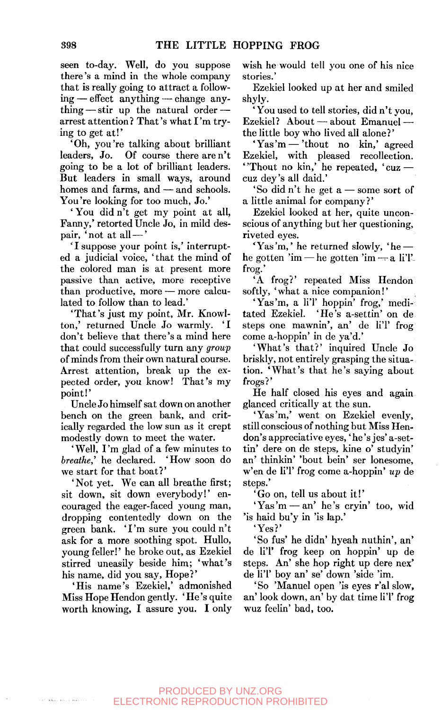seen to-day. Well, do you suppose there's a mind in the whole company that is really going to attract a following — effect anything — change anything— stir up the natural order arrest attention ? That's what I 'm trying to get at!'

'Oh, you're talking about brilliant leaders, Jo. Of course there are n't going to be a lot of brilliant leaders. But leaders in small ways, around homes and farms, and — and schools. You're looking for too much, Jo.'

' You did n't get my point at all, Fanny,' retorted Uncle Jo, in mild despair, 'not at all—'

'I suppose your point is,' interrupted a judicial voice, 'that the mind of the colored man is at present more passive than active, more receptive than productive, more — more calculated to follow than to lead.'

'That's just my point, Mr. Knowlton,' returned Uncle Jo warmly. 'I don't believe that there's a mind here that could successfully turn any *group*  of minds from their own natural course. Arrest attention, break up the expected order, you know! That's my point!'

Uncle Jo himself sat down on another bench on the green bank, and critically regarded the low sun as it crept modestly down to meet the water.

'Well, I'm glad of a few minutes to *breathe,'* he declared. 'How soon do we start for that boat?'

'Not yet. We can all breathe first; sit down, sit down everybody!' encouraged the eager-faced young man, dropping contentedly down on the green bank. 'I'm sure you couldn't ask for a more soothing spot. Hullo, young feller!' he broke out, as Ezekiel stirred uneasily beside him; 'what's his name, did you say, Hope?'

'His name's Ezekiel,' admonished Miss Hope Hendon gently. ' He's quite worth knowing, I assure you. I only wish he would tell you one of his nice stories.'

Ezekiel looked up at her and smiled shyly.

You used to tell stories, did n't you, Ezekiel? About — about Emanuel the little boy who lived all alone?'

' Yas 'm — 'thout no kin,' agreed Ezekiel, with pleased recollection. ' Thout no kin,' he repeated,  $'$  cuz  $$ cuz dey's all daid.'

'So did n't he get a — some sort of a little animal for company?'

Ezekiel looked at her, quite unconscious of anything but her questioning, riveted eyes.

 $``{\rm Yas}$  'm, ' he returned slowly, 'he he gotten 'im — he gotten 'im — a li'l'frog.'

'A frog?' repeated Miss Hendon softly, ' what a nice companion!'

'Yas'm, a li'l' hoppin' frog,' medi-<br>tated Ezekiel. 'He's a-settin' on de 'He's a-settin' on de steps one mawnin', an' de li'l' frog come a-hoppin' in de ya'd.'

'What's that?' inquired Uncle Jo briskly, not entirely grasping the situation. 'What's that he's saying about frogs ?'

He half closed his eyes and again glanced critically at the sun.

'Yas'm,' went on Ezekiel evenly, still conscious of nothing but Miss Hendon's appreciative eyes,' he's jes' a-settin' dere on de steps, kine o' studyin' an' thinkin' 'bout bein' ser lonesome, w'en de liT frog come a-hoppin' *up* de steps.'

' Go on, tell us about it!'

' Yas 'm — an' he's cryin' too, wid 'is haid bu'y in 'is lap.'

'Yes?'

'So fus' he didn' hyeah nuthin', an' de li'l' frog keep on hoppin' up de steps. An' she hop right up dere nex' de li'l' boy an' se' down 'side 'im.

' So 'Manuel open 'is eyes r'al slow, an' look down, an' by dat time li'l' frog wuz feelin' bad, too.

## PRODUCED BY UNZ.ORG ELECTRONIC REPRODUCTION PROHIBITED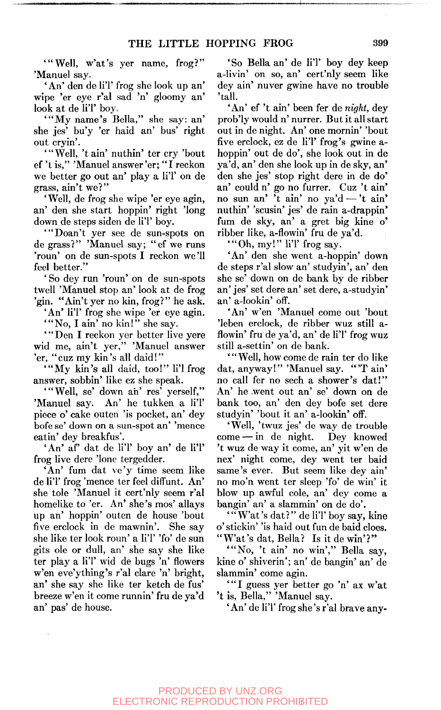'"Well, w'at's yer name, frog?" 'Manuel say.

'An' den de li'l' frog she look up an' wipe 'er eye r'al sad 'n' gloomy an' look at de li'l' boy.

'"My name's Bella," she say: an' she jes' bu'y 'er haid an' bus' right out cryin'.

'"Well, 'tain' nuthin' ter cry 'bout ef 't is," 'Manuel answer'er; " I reckon we better go out an' play a li'l' on de grass, ain't we?"

'Well, de frog she wipe 'er eye agin, an' den she start hoppin' right 'long down de steps siden de li'l' boy.

'"Doan't yer see de sun-spots on de grass?" 'Manuel say; "ef we runs 'roun' on de sun-spots I reckon we'll feel better.'

' So dey run 'roun' on de sun-spots twell 'Manuel stop an' look at de frog 'gin. "Ain't yer no kin, frog?" he ask.

'An' li'l' frog she wipe 'er eye agin.

'"No, I ain' no kin!" she say.

'"Den I reckon yer better live yere wid me, ain't yer," 'Manuel answer 'er, "cuz my kin's all daid!"

'"My kin's all daid, too!" li'l frog answer, sobbin' like ez she speak.

'"Well, se' down ah' res' yerself," 'Manuel say. An' he tukken a li'l' piece o' cake outen 'is pocket, an' dey bofe se' down on a sun-spot an' 'mence eatin' dey breakfus'.

'An' af' dat de li'l' boy an' de li'l' frog live dere 'lone tergedder.

'An' fum dat ve'y time seem like de li'l' frog 'mence ter feel diffunt. An' she tole 'Manuel it cert'nly seem r'al homelike to 'er. An' she's mos' allays up an' hoppin' outen de house 'bout five erclock in de mawnin'. She say she like ter look roun' a li'l' 'fo' de sun gits ole or dull, an' she say she like ter play a li'l' wid de bugs 'n' flowers w'en eve'ything's r'al clare 'n' bright, an' she say she like ter ketch de fus' breeze w'en it come runnin' fru de ya'd an' pas' de house.

'So Bella an' de li'l' boy dey keep a-livin' on so, an' cert'nly seem like dey ain' nuver gwine have no trouble 'tall.

'An' ef 't ain' been fer de *night,* dey prob'ly would n' nurrer. But it all start out in de night. An' one mornin' 'bout five erclock, ez de li'l' frog's gwine ahoppin' out de do', she look out in de ya'd, an' den she look up in de sky, an den she jes' stop right dere in de do' an' could n' go no furrer. Cuz 't ain no sun an' 't ain' no ya'd — 't ain nuthin' 'scusin' jes' de rain a-drappin fum de sky, an' a gret big kine o' ribber like, a-flowin' fru de ya'd.

'"Oh, my!" li'l' frog say.

'An' den she went a-hoppin' down de steps r'al slow an' studyin', an' den she se' down on de bank by de ribber an' jes' set dere an' set dere, a-studyin' an' a-lookin' off.

'An' w'en 'Manuel come out 'bout 'leben erclock, de ribber wuz still aflowin' fru de ya'd, an' de li'l' frog wuz still a-settin' on de bank.

' " Well, how come de rain ter do like dat, anyway!" 'Manuel say. "'T ain' no call fer no sech a shower's dat!" An' he went out an' se' down on de bank too, an' den dey bofe set dere studyin' 'bout it an' a-lookin' off.

'Well, 'twuz jes' de way de trouble come — in de night. Dey knowed 't wuz de way it come, an' yit w'en de nex' night come, dey went ter baid same's ever. But seem like dey ain' no mo'n went ter sleep 'fo' de win' it blow up awful cole, an' dey come a bangin' an' a slammin' on de do'.

'"W'at's dat?" de li'l' boy say, kine o' stickin' 'is haid out fun de baid cloes. "W'at's dat, Bella? Is it de win'?"

"No, 't ain' no win'," Bella say, kine o' shiverin'; an' de bangin' an' de slammin' come agin.

\*"I guess yer better go 'n' ax w'at 't is, Bella," 'Manuel say.

' An' de li'l' frog she's r'al brave any-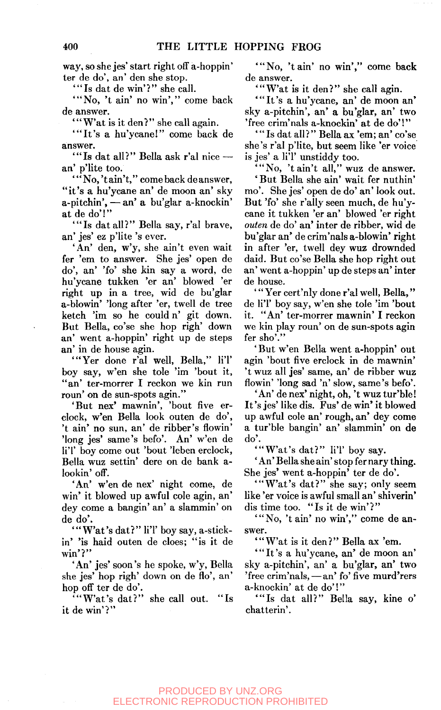way, so she jes' start right off a-hoppin' ter de do', an' den she stop.

'"Is dat de win'?" she call.

"No, 't ain' no win'," come back de answer.

"W'at is it den?" she call again.

'"It's a hu'ycane!" come back de answer.

'"Is dat all?" Bella ask r'al nice an' p'lite too.

' " No,'t ain't," come back de answer, "it's a hu'ycane an' de moon an' sky a-pitchin', — an' a bu'glar a-knockin' at de do'!"

'"Is dat all?" Bella say, r'al brave, an' jes' ez p'lite 's ever.

'An' den, w'y, she ain't even wait fer 'em to answer. She jes' open de do', an' 'fo' she kin say a word, de hu'ycane tukken 'er an' blowed 'er right up in a tree, wid de bu'glar a-blowin' 'long after 'er, twell de tree ketch 'im so he could n' git down. But Bella, co'se she hop righ' down an' went a-hoppin' right up de steps an' in de house agin.

"Yer done r'al well, Bella," li'l' boy say, w'en she tole 'im 'bout it, "an' ter-morrer I reckon we kin run roun' on de sun-spots agin."

'But nex' mawnin', 'bout five erclock, w'en Bella look outen de do', 't ain' no sun, an' de ribber's flowin' 'long jes' same's befo'. An' w'en de li'l' boy come out 'bout 'leben erclock, Bella wuz settin' dere on de bank alookin' off.

'An' w'en de nex' night come, de win' it blowed up awful cole agin, an' dey come a bangin' an' a slammin' on de do'.

"W'at's dat?" li'l' boy say, a-stickin' 'is haid outen de does; "is it de win'?"

'An' jes' soon's he spoke, w'y, Bella she jes' hop righ' down on de flo', an' hop off ter de do'.

'"Wat's dat?" she call out. "Is it de win'?"

"No, 't ain' no win'," come back de answer.

"W'at is it den?" she call agin.

'"It's a hu'ycane, an' de moon an' sky a-pitchin', an' a bu'glar, an' two 'free crim'nals a-knockin' at de do'!"

'"Is dat all?" Bella ax 'em; an' co'se she's r'al p'lite, but seem like 'er voice is jes' a li'l' unstiddy too.

"No, 't ain't all," wuz de answer.

' But Bella she ain' wait fer nuthin' mo'. She jes' open de do' an' look out. But 'fo' she r'ally seen much, de hu'ycane it tukken 'er an' blowed 'er right *outen* de do' an' inter de ribber, wid de bu'glar an' de crim'nals a-blowin' right in after 'er, twell dey wuz drownded daid. But co'se Bella she hop right out an' went a-hoppin' up de steps an' inter de house.

' " Yer cert'niy done r'al well, Bella," de li'l' boy say, w'en she tole 'im 'bout it. "An' ter-morrer mawnin' I reckon we kin play roun' on de sun-spots agin fer sho'."

' But w'en Bella went a-hoppin' out agin 'bout five erclock in de mawnin' 't wuz all jes' same, an' de ribber wuz flowin' 'long sad 'n' slow, same's befo'.

'An' de nex' night, oh, 't wuz tur'ble! It's jes' like dis. Fus' de win' it blowed up awful cole an' rough, an' dey come a tur'ble bangin' an' slammin' on de do'.

'"Wat's dat?" li'l' boy say.

' An' Bella she ain' stop fer nary thing. She jes' went a-hoppin' ter de do'.

'"Wat's dat?" she say; only seem like 'er voice is awful small an' shiverin' dis time too. "Is it de win'?"

"No, 't ain' no win'," come de answer.

"W'at is it den?" Bella ax 'em.

'"It's a hu'ycane, an' de moon an' sky a-pitchin', an' a bu'glar, an' two 'free crim'nals, — an' fo' five murd'rers a-knockin' at de do'!"

'"Is dat all?" Bella say, kine o' chatterin'.

#### PRODUCED BY UNZ.ORG ELECTRONIC REPRODUCTION PROHIBITED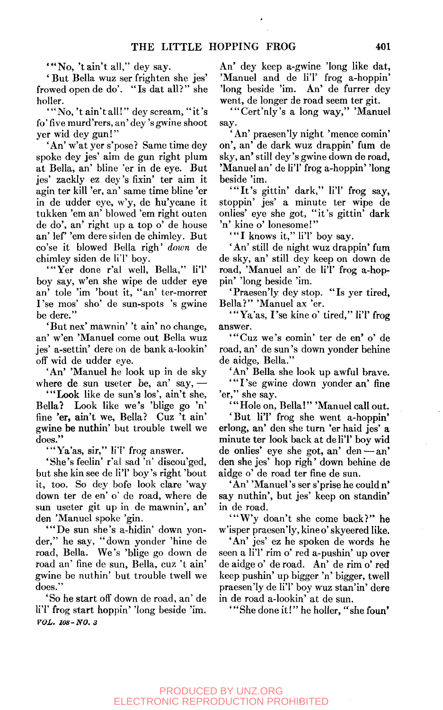"No, 't ain't all," dey say.

' But Bella wuz ser frighten she jes' frowed open de do'. "Is dat all?" she holler.

' " No, 't ain't all!" dey scream, " it's fo' five murd'rers, an' dey's gwine shoot yer wid dey gun!"

'An' w'at yer s'pose? Same time dey spoke dey jes' aim de gun right plum at Bella, an' bline 'er in de eye. But jes' zackly ez dey's fixin' ter aim it agin ter kill 'er, an' same time bline 'er in de udder eye, w'y, de hu'ycane it tukken 'em an' blowed 'em right outen de do', an' right up a top o' de house an' lef 'em dere siden de chimley. But co'se it blowed Bella righ' *down* de chimley siden de li'l' boy.

'"Yer done r'al well, Bella," li'l' boy say, w'en she wipe de udder eye an' tole 'im 'bout it, "an' ter-morrer I'se mos' sho' de sun-spots 's gwine be dere."

'But nex' mawnin' 't ain' no change, an' w'en 'Manuel come out Bella wuz jes' a-settin' dere on de bank a-lookin' off wid de udder eye.

'An' 'Manuel he look up in de sky where de sun useter be, an' say,  $-$ 

'"Look like de sun's los', ain't she, Bella? Look like we's 'blige go 'n' fine 'er, ain't we, Bella? Cuz 't ain' gwine be nuthin' but trouble twell we does."

'"Ya'as, sir," li'l' frog answer.

'She's feelin' r'al sad 'n' discou'ged, but she kin see de li'l' boy's right 'bout it, too. So dey bofe look clare 'way down ter de en' o' de road, where de sun useter git up in de mawnin', an' den 'Manuel spoke 'gin.

"De sun she's a-hidin' down yonder," he say, "down yonder 'hine de road, Bella. We's 'blige go down de road an' fine de sun, Bella, cuz 't ain' gwine be nuthin' but trouble twell we does."

'So he start off down de road, an' de li'l' frog start hoppin' 'long beside 'im. *VOL. 108-NO. 3* 

An' dey keep a-gwine 'long like dat, 'Manuel and de li'l' frog a-hoppin' 'long beside 'im. An' de furrer dey went, de longer de road seem ter git.

'"Cert'nly's a long way," 'Manuel say.

' An' praesen'ly night 'mence comin' on', an' de dark wuz drappin' fum de sky, an' still dey's gwine down de road, 'Manuel an' de li'l' frog a-hoppin' 'long beside 'im.

'"It's gittin' dark," li'l' frog say, stoppin' jes' a minute ter wipe de onlies' eye she got, "it's gittin' dark 'n' kine o' lonesome!"

"I knows it," li'l' boy say.

'An' still de night wuz drappin' fum de sky, an' still dey keep on down de road, 'Manuel an' de li'l' frog a-hoppin' 'long beside 'im.

'Praesen'ly dey stop. "Is yer tired, Bella?" 'Manuel ax 'er.

'"Ya'as, I'se kine o' tired," li'l' frog answer.

'"Cuz we's comin' ter de en' o' de road, an' de sun's down yonder behine de aidge, Bella."

'An' Bella she look up awful brave. "I'se gwine down yonder an' fine 'er," she say.

' "Hole on, Bella!" 'Manuel call out.

'But li'l' frog she went a-hoppin' erlong, an' den she turn 'er haid jes' a minute ter look back at de li'l' boy wid de onlies' eye she got, an' den—an' den she jes' hop righ' down behine de aidge o' de road ter fine de sun.

'An' 'Manuel's ser s'prise he could n' say nuthin', but jes' keep on standin' in de road.

"Wy doan't she come back?" he w'isper praesen'ly, kineo' skyeered like.

'An' jes' ez he spoken de words he seen a li'l' rim o' red a-pushin' up over de aidge o' de road. An' de rim o' red keep pushin' up bigger 'n' bigger, twell praesen'ly de li'l' boy wuz stan'in' dere in de road a-lookin' at de sun.

She done it!" he holler, "she foun'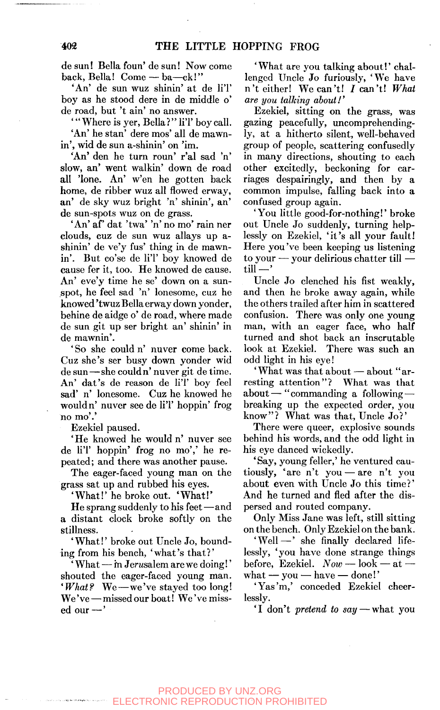de sun! Bella foun' de sun! Now come back, Bella! Come — ba—ck!"

'An' de sun wuz shinin' at de li'l' boy as he stood dere in de middle o' de road, but 't ain' no answer.

' "Where is yer, Bella?" li'l' boy call. 'An' he stan' dere mos' all de mawnin', wid de sun a-shinin' on 'im.

'An' den he turn roun' r'al sad 'n' slow, an' went walkin' down de road all 'lone. An' w'en he gotten back home, de ribber wuz all flowed erway, an' de sky wuz bright 'n' shinin', an' de sun-spots wuz on de grass.

'An' af' dat 'twa' 'n' no mo' rain ner clouds, cuz de sun wuz allays up ashinin' de ve'y fus' thing in de mawnin'. But co'se de li'l' boy knowed de cause fer it, too. He knowed de cause. An' eve'y time he se' down on a sunspot, he feel sad 'n' lonesome, cuz he knowed 'twuz Bella erway down yonder, behine de aidge o' de road, where made de sun git up ser bright an' shinin' in de mawnin'.

' So she could n' nuver come back. Cuz she's ser busy down yonder wid de sun—she could n' nuver git de time. An' dat's de reason de li'l' boy feel sad' n' lonesome. Cuz he knowed he would n' nuver see de li'l' hoppin' frog no mo'.'

Ezekiel paused.

'He knowed he would n' nuver see de li'l' hoppin' frog no mo',' he repeated; and there was another pause.

The eager-faced young man on the grass sat up and rubbed his eyes.

' What!' he broke out. ' What!'

He sprang suddenly to his feet—and a distant clock broke softly on the stillness.

'What!' broke out Uncle Jo, bounding from his bench, 'what's that?'

' What — in Jerwsalem are we doing!' shouted the eager-faced young man. *'What?* We—we've stayed too long! We've — missed our boat! We've missed our —'

'What are you talking about!' challenged Uncle Jo furiously, 'We have n't either! We can't! I can't! What *are you talking about!'* 

Ezekiel, sitting on the grass, was gazing peacefully, uncomprehendingly, at a hitherto silent, well-behaved group of people, scattering confusedly in many directions, shouting to each other excitedly, beckoning for carriages despairingly, and then by a common impulse, falling back into a confused group again.

'You little good-for-nothing!' broke out Uncle Jo suddenly, turning helplessly on Ezekiel, 'it's all your fault! Here you've been keeping us listening to your — your delirious chatter till till—'

Uncle Jo clenched his fist weakly, and then he broke away again, while the others trailed after him in scattered confusion. There was only one young man, with an eager face, who half turned and shot back an inscrutable look at Ezekiel. There was such an odd light in his eye!

'What was that about — about "arresting attention"? What was that about — "commanding a following breaking up the expected order, you know"? What was that. Uncle Jo?'

There were queer, explosive sounds behind his words, and the odd light in his eye danced wickedly.

'Say, young feller,' he ventured cautiously, 'are n't you — are n't you about even with Uncle Jo this time?' And he turned and fled after the dispersed and routed company.

Only Miss Jane was left, still sitting on the bench. Only Ezekiel on the bank.

'Well—' she finally declared lifelessly, 'you have done strange things before, Ezekiel. *Now* — look — at —  $\text{what} - \text{you} - \text{have} - \text{done}$ !'

'Yas'm,' conceded Ezekiel cheerlessly.

'I don't *pretend to say* — what you